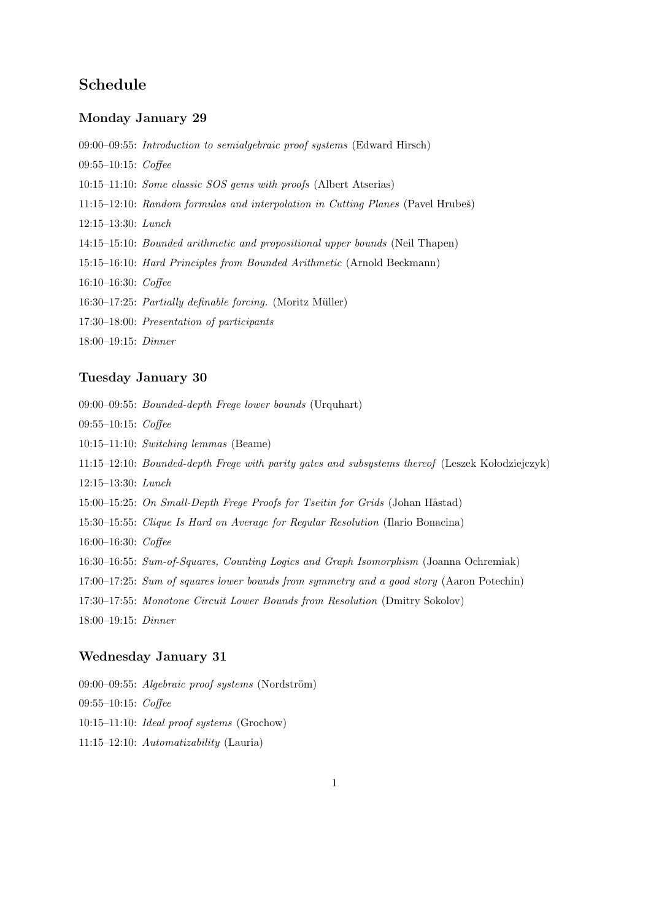# Schedule

### Monday January 29

09:00–09:55: Introduction to semialgebraic proof systems (Edward Hirsch)

09:55–10:15: Coffee

10:15–11:10: Some classic SOS gems with proofs (Albert Atserias)

11:15–12:10: Random formulas and interpolation in Cutting Planes (Pavel Hrubes)

12:15–13:30: Lunch

14:15–15:10: Bounded arithmetic and propositional upper bounds (Neil Thapen)

15:15–16:10: Hard Principles from Bounded Arithmetic (Arnold Beckmann)

16:10–16:30: Coffee

16:30–17:25: Partially definable forcing. (Moritz Müller)

17:30–18:00: Presentation of participants

18:00–19:15: Dinner

# Tuesday January 30

09:00–09:55: Bounded-depth Frege lower bounds (Urquhart)

- 09:55–10:15: Coffee
- 10:15–11:10: Switching lemmas (Beame)
- 11:15–12:10: Bounded-depth Frege with parity gates and subsystems thereof (Leszek Kołodziejczyk)
- 12:15–13:30: Lunch
- 15:00–15:25: On Small-Depth Frege Proofs for Tseitin for Grids (Johan Håstad)

15:30–15:55: Clique Is Hard on Average for Regular Resolution (Ilario Bonacina)

16:00–16:30: Coffee

- 16:30–16:55: Sum-of-Squares, Counting Logics and Graph Isomorphism (Joanna Ochremiak)
- 17:00–17:25: Sum of squares lower bounds from symmetry and a good story (Aaron Potechin)
- 17:30–17:55: Monotone Circuit Lower Bounds from Resolution (Dmitry Sokolov)

18:00–19:15: Dinner

#### Wednesday January 31

09:00–09:55: Algebraic proof systems (Nordström) 09:55–10:15: Coffee 10:15–11:10: Ideal proof systems (Grochow) 11:15–12:10: Automatizability (Lauria)